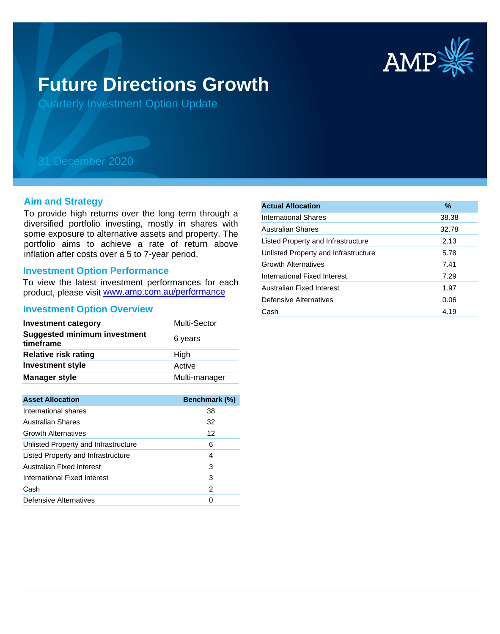

# **Future Directions Growth**

Quarterly Investment Option Update

## 31 December 2020

#### **Aim and Strategy**

To provide high returns over the long term through a diversified portfolio investing, mostly in shares with some exposure to alternative assets and property. The portfolio aims to achieve a rate of return above inflation after costs over a 5 to 7-year period.

#### **Investment Option Performance**

product, please visit www.amp.com.au/performance To view the latest investment performances for each

### **Investment Option Overview**

| <b>Investment category</b>                       | Multi-Sector  |
|--------------------------------------------------|---------------|
| <b>Suggested minimum investment</b><br>timeframe | 6 years       |
| <b>Relative risk rating</b>                      | High          |
| <b>Investment style</b>                          | Active        |
| <b>Manager style</b>                             | Multi-manager |

| <b>Asset Allocation</b>              | <b>Benchmark (%)</b> |
|--------------------------------------|----------------------|
| International shares                 | 38                   |
| Australian Shares                    | 32                   |
| <b>Growth Alternatives</b>           | 12                   |
| Unlisted Property and Infrastructure | 6                    |
| Listed Property and Infrastructure   | 4                    |
| Australian Fixed Interest            | 3                    |
| International Fixed Interest         | 3                    |
| Cash                                 | 2                    |
| Defensive Alternatives               |                      |

| <b>Actual Allocation</b>             | $\frac{9}{6}$ |
|--------------------------------------|---------------|
| International Shares                 | 38.38         |
| <b>Australian Shares</b>             | 32.78         |
| Listed Property and Infrastructure   | 2.13          |
| Unlisted Property and Infrastructure | 5.78          |
| <b>Growth Alternatives</b>           | 7.41          |
| International Fixed Interest         | 7.29          |
| Australian Fixed Interest            | 1.97          |
| Defensive Alternatives               | 0.06          |
| Cash                                 | 4.19          |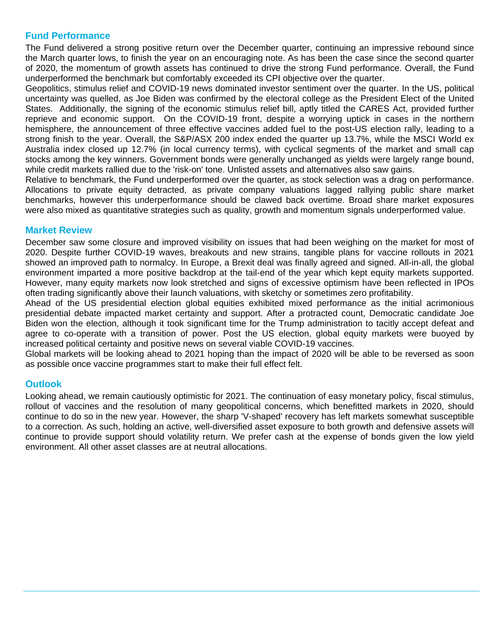#### **Fund Performance**

The Fund delivered a strong positive return over the December quarter, continuing an impressive rebound since the March quarter lows, to finish the year on an encouraging note. As has been the case since the second quarter of 2020, the momentum of growth assets has continued to drive the strong Fund performance. Overall, the Fund underperformed the benchmark but comfortably exceeded its CPI objective over the quarter.

Geopolitics, stimulus relief and COVID-19 news dominated investor sentiment over the quarter. In the US, political uncertainty was quelled, as Joe Biden was confirmed by the electoral college as the President Elect of the United States. Additionally, the signing of the economic stimulus relief bill, aptly titled the CARES Act, provided further reprieve and economic support. On the COVID-19 front, despite a worrying uptick in cases in the northern hemisphere, the announcement of three effective vaccines added fuel to the post-US election rally, leading to a strong finish to the year. Overall, the S&P/ASX 200 index ended the quarter up 13.7%, while the MSCI World ex Australia index closed up 12.7% (in local currency terms), with cyclical segments of the market and small cap stocks among the key winners. Government bonds were generally unchanged as yields were largely range bound, while credit markets rallied due to the 'risk-on' tone. Unlisted assets and alternatives also saw gains.

Relative to benchmark, the Fund underperformed over the quarter, as stock selection was a drag on performance. Allocations to private equity detracted, as private company valuations lagged rallying public share market benchmarks, however this underperformance should be clawed back overtime. Broad share market exposures were also mixed as quantitative strategies such as quality, growth and momentum signals underperformed value.

#### **Market Review**

December saw some closure and improved visibility on issues that had been weighing on the market for most of 2020. Despite further COVID-19 waves, breakouts and new strains, tangible plans for vaccine rollouts in 2021 showed an improved path to normalcy. In Europe, a Brexit deal was finally agreed and signed. All-in-all, the global environment imparted a more positive backdrop at the tail-end of the year which kept equity markets supported. However, many equity markets now look stretched and signs of excessive optimism have been reflected in IPOs often trading significantly above their launch valuations, with sketchy or sometimes zero profitability.

Ahead of the US presidential election global equities exhibited mixed performance as the initial acrimonious presidential debate impacted market certainty and support. After a protracted count, Democratic candidate Joe Biden won the election, although it took significant time for the Trump administration to tacitly accept defeat and agree to co-operate with a transition of power. Post the US election, global equity markets were buoyed by increased political certainty and positive news on several viable COVID-19 vaccines.

Global markets will be looking ahead to 2021 hoping than the impact of 2020 will be able to be reversed as soon as possible once vaccine programmes start to make their full effect felt.

#### **Outlook**

Looking ahead, we remain cautiously optimistic for 2021. The continuation of easy monetary policy, fiscal stimulus, rollout of vaccines and the resolution of many geopolitical concerns, which benefitted markets in 2020, should continue to do so in the new year. However, the sharp 'V-shaped' recovery has left markets somewhat susceptible to a correction. As such, holding an active, well-diversified asset exposure to both growth and defensive assets will continue to provide support should volatility return. We prefer cash at the expense of bonds given the low yield environment. All other asset classes are at neutral allocations.